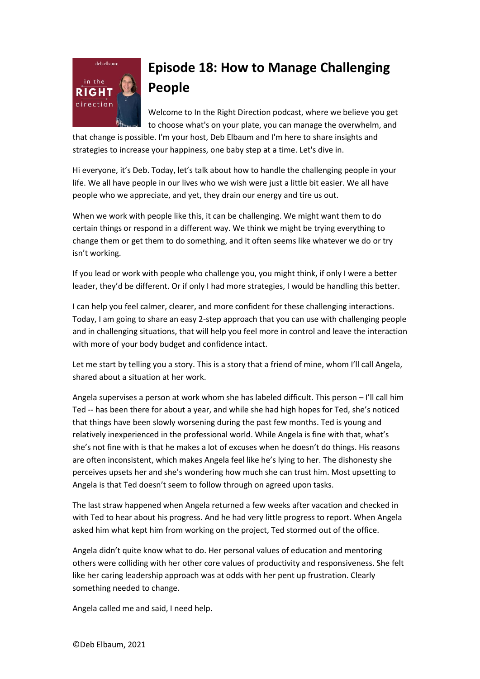

## **Episode 18: How to Manage Challenging People**

Welcome to In the Right Direction podcast, where we believe you get to choose what's on your plate, you can manage the overwhelm, and

that change is possible. I'm your host, Deb Elbaum and I'm here to share insights and strategies to increase your happiness, one baby step at a time. Let's dive in.

Hi everyone, it's Deb. Today, let's talk about how to handle the challenging people in your life. We all have people in our lives who we wish were just a little bit easier. We all have people who we appreciate, and yet, they drain our energy and tire us out.

When we work with people like this, it can be challenging. We might want them to do certain things or respond in a different way. We think we might be trying everything to change them or get them to do something, and it often seems like whatever we do or try isn't working.

If you lead or work with people who challenge you, you might think, if only I were a better leader, they'd be different. Or if only I had more strategies, I would be handling this better.

I can help you feel calmer, clearer, and more confident for these challenging interactions. Today, I am going to share an easy 2-step approach that you can use with challenging people and in challenging situations, that will help you feel more in control and leave the interaction with more of your body budget and confidence intact.

Let me start by telling you a story. This is a story that a friend of mine, whom I'll call Angela, shared about a situation at her work.

Angela supervises a person at work whom she has labeled difficult. This person – I'll call him Ted -- has been there for about a year, and while she had high hopes for Ted, she's noticed that things have been slowly worsening during the past few months. Ted is young and relatively inexperienced in the professional world. While Angela is fine with that, what's she's not fine with is that he makes a lot of excuses when he doesn't do things. His reasons are often inconsistent, which makes Angela feel like he's lying to her. The dishonesty she perceives upsets her and she's wondering how much she can trust him. Most upsetting to Angela is that Ted doesn't seem to follow through on agreed upon tasks.

The last straw happened when Angela returned a few weeks after vacation and checked in with Ted to hear about his progress. And he had very little progress to report. When Angela asked him what kept him from working on the project, Ted stormed out of the office.

Angela didn't quite know what to do. Her personal values of education and mentoring others were colliding with her other core values of productivity and responsiveness. She felt like her caring leadership approach was at odds with her pent up frustration. Clearly something needed to change.

Angela called me and said, I need help.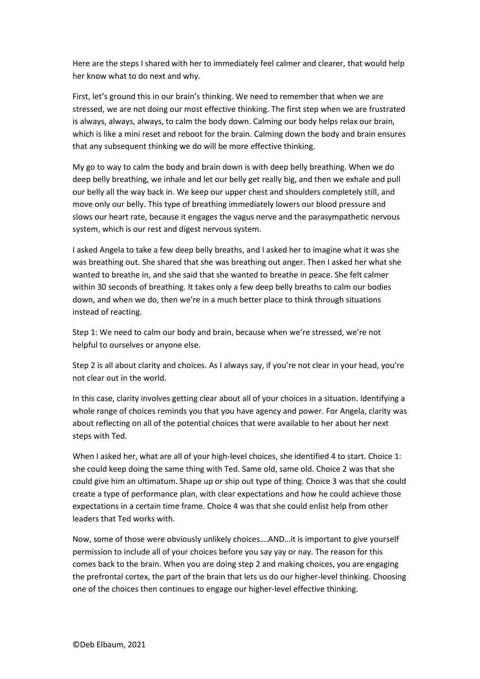Here are the steps I shared with her to immediately feel calmer and clearer, that would help her know what to do next and why.

First, let's ground this in our brain's thinking. We need to remember that when we are stressed, we are not doing our most effective thinking. The first step when we are frustrated is always, always, always, to calm the body down. Calming our body helps relax our brain, which is like a mini reset and reboot for the brain. Calming down the body and brain ensures that any subsequent thinking we do will be more effective thinking.

My go to way to calm the body and brain down is with deep belly breathing. When we do deep belly breathing, we inhale and let our belly get really big, and then we exhale and pull our belly all the way back in. We keep our upper chest and shoulders completely still, and move only our belly. This type of breathing immediately lowers our blood pressure and slows our heart rate, because it engages the vagus nerve and the parasympathetic nervous system, which is our rest and digest nervous system.

I asked Angela to take a few deep belly breaths, and I asked her to imagine what it was she was breathing out. She shared that she was breathing out anger. Then I asked her what she wanted to breathe in, and she said that she wanted to breathe in peace. She felt calmer within 30 seconds of breathing. It takes only a few deep belly breaths to calm our bodies down, and when we do, then we're in a much better place to think through situations instead of reacting.

Step 1: We need to calm our body and brain, because when we're stressed, we're not helpful to ourselves or anyone else.

Step 2 is all about clarity and choices. As I always say, if you're not clear in your head, you're not clear out in the world.

In this case, clarity involves getting clear about all of your choices in a situation. Identifying a whole range of choices reminds you that you have agency and power. For Angela, clarity was about reflecting on all of the potential choices that were available to her about her next steps with Ted.

When I asked her, what are all of your high-level choices, she identified 4 to start. Choice 1: she could keep doing the same thing with Ted. Same old, same old. Choice 2 was that she could give him an ultimatum. Shape up or ship out type of thing. Choice 3 was that she could create a type of performance plan, with clear expectations and how he could achieve those expectations in a certain time frame. Choice 4 was that she could enlist help from other leaders that Ted works with.

Now, some of those were obviously unlikely choices….AND…it is important to give yourself permission to include all of your choices before you say yay or nay. The reason for this comes back to the brain. When you are doing step 2 and making choices, you are engaging the prefrontal cortex, the part of the brain that lets us do our higher-level thinking. Choosing one of the choices then continues to engage our higher-level effective thinking.